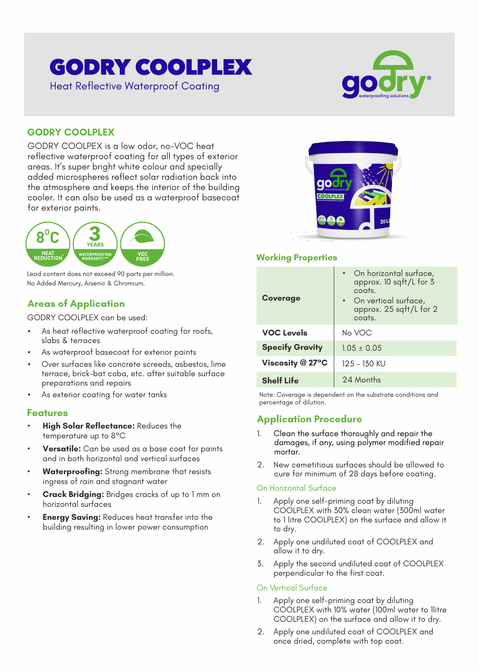# GODRY COOLPLEX



# Heat Reflective Waterproof Coating

### **GODRY COOLPLEX**

GODRY COOLPEX is a low odor, no-VOC heat reflective waterproof coating for all types of exterior areas. It's super bright white colour and specially added microspheres reflect solar radiation back into the atmosphere and keeps the interior of the building cooler. It can also be used as a waterproof basecoat for exterior paints.



Lead content does not exceed 90 parts per million. No Added Mercury, Arsenic & Chromium.

# **Areas of Application**

GODRY COOLPLEX can be used:

- As heat reflective waterproof coating for roofs, slabs & terraces
- As waterproof basecoat for exterior paints
- Over surfaces like concrete screeds, asbestos, lime terrace, brick-bat coba, etc. after suitable surface preparations and repairs
- As exterior coating for water tanks

#### **Features**

- **High Solar Reflectance:** Reduces the temperature up to 8°C
- **Versatile:** Can be used as a base coat for paints and in both horizontal and vertical surfaces
- **Waterproofing:** Strong membrane that resists ingress of rain and stagnant water
- **Crack Bridging:** Bridges cracks of up to 1 mm on horizontal surfaces
- **Energy Saving: Reduces heat transfer into the** building resulting in lower power consumption



#### **Working Properties**

| <b>Coverage</b>        | • On horizontal surface,<br>approx. 10 sqft/L for 3<br>coats.<br>• On vertical surface,<br>approx. 25 sqft/L for 2<br>coats. |
|------------------------|------------------------------------------------------------------------------------------------------------------------------|
| <b>VOC Levels</b>      | No VOC                                                                                                                       |
| <b>Specify Gravity</b> | $1.05 \pm 0.05$                                                                                                              |
| Viscosity $@27°C$      | 125 - 130 KU                                                                                                                 |
| <b>Shelf Life</b>      | 24 Months                                                                                                                    |

Note: Coverage is dependent on the substrate conditions and percentage of dilution.

# **Application Procedure**

- 1. Clean the surface thoroughly and repair the damages, if any, using polymer modified repair mortar.
- 2. New cemetitious surfaces should be allowed to cure for minimum of 28 days before coating.

#### On Horizontal Surface

- 1. Apply one self-priming coat by diluting COOLPLEX with 30% clean water (300ml water to 1 litre COOLPLEX) on the surface and allow it to dry.
- 2. Apply one undiluted coat of COOLPLEX and allow it to dry.
- 3. Apply the second undiluted coat of COOLPLEX perpendicular to the first coat.

#### On Vertical Surface

- 1. Apply one self-priming coat by diluting COOLPLEX with 10% water (100ml water to 1litre COOLPLEX) on the surface and allow it to dry.
- 2. Apply one undiluted coat of COOLPLEX and once dried, complete with top coat.